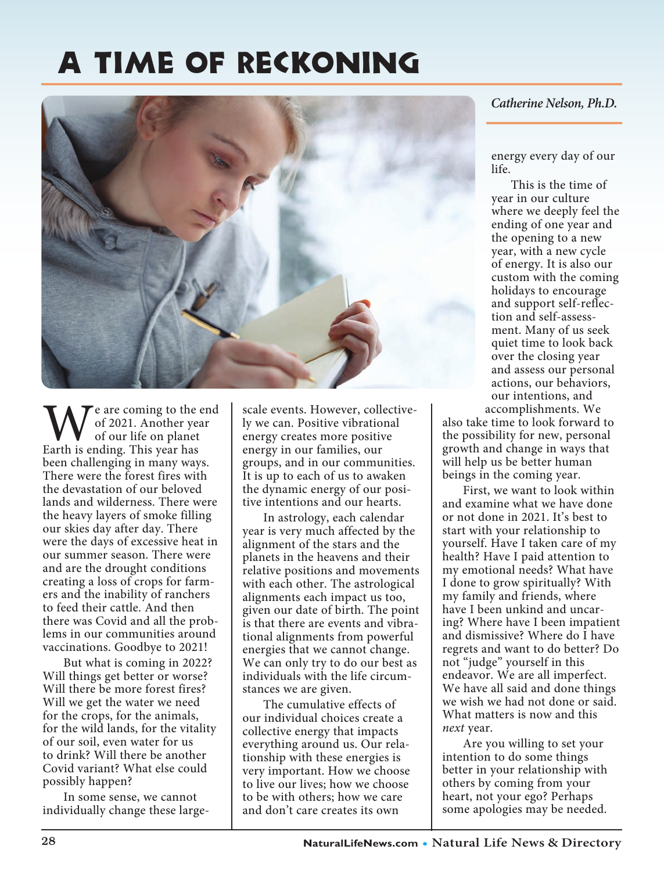## A Time of Reckoning



We are coming to the end<br>of 2021. Another year<br>Earth is ending. This year has of 2021. Another year of our life on planet been challenging in many ways. There were the forest fires with the devastation of our beloved lands and wilderness. There were the heavy layers of smoke filling our skies day after day. There were the days of excessive heat in our summer season. There were and are the drought conditions creating a loss of crops for farmers and the inability of ranchers to feed their cattle. And then there was Covid and all the problems in our communities around vaccinations. Goodbye to 2021!

 But what is coming in 2022? Will things get better or worse? Will there be more forest fires? Will we get the water we need for the crops, for the animals, for the wild lands, for the vitality of our soil, even water for us to drink? Will there be another Covid variant? What else could possibly happen?

 In some sense, we cannot individually change these large-

scale events. However, collectively we can. Positive vibrational energy creates more positive energy in our families, our groups, and in our communities. It is up to each of us to awaken the dynamic energy of our positive intentions and our hearts.

 In astrology, each calendar year is very much affected by the alignment of the stars and the planets in the heavens and their relative positions and movements with each other. The astrological alignments each impact us too, given our date of birth. The point is that there are events and vibrational alignments from powerful energies that we cannot change. We can only try to do our best as individuals with the life circumstances we are given.

 The cumulative effects of our individual choices create a collective energy that impacts everything around us. Our relationship with these energies is very important. How we choose to live our lives; how we choose to be with others; how we care and don't care creates its own

## *Catherine Nelson, Ph.D.*

energy every day of our life.

 This is the time of year in our culture where we deeply feel the ending of one year and the opening to a new year, with a new cycle of energy. It is also our custom with the coming holidays to encourage and support self-reflection and self-assessment. Many of us seek quiet time to look back over the closing year and assess our personal actions, our behaviors, our intentions, and accomplishments. We

also take time to look forward to the possibility for new, personal growth and change in ways that will help us be better human beings in the coming year.

 First, we want to look within and examine what we have done or not done in 2021. It's best to start with your relationship to yourself. Have I taken care of my health? Have I paid attention to my emotional needs? What have I done to grow spiritually? With my family and friends, where have I been unkind and uncaring? Where have I been impatient and dismissive? Where do I have regrets and want to do better? Do not "judge" yourself in this endeavor. We are all imperfect. We have all said and done things we wish we had not done or said. What matters is now and this *next* year.

 Are you willing to set your intention to do some things better in your relationship with others by coming from your heart, not your ego? Perhaps some apologies may be needed.